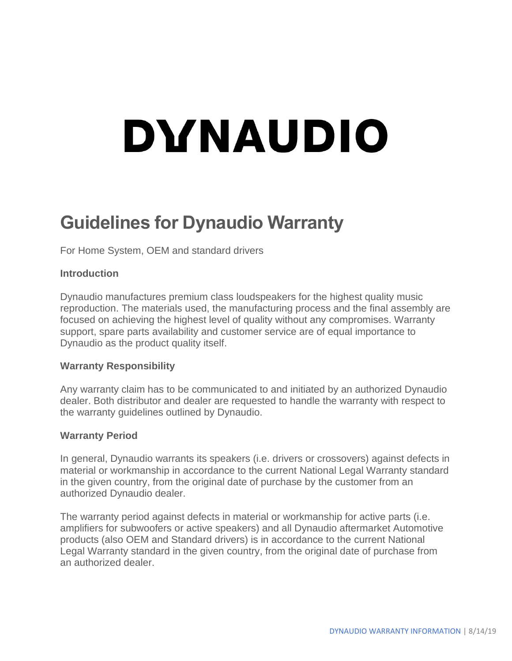# DYNAUDIO

# **Guidelines for Dynaudio Warranty**

For Home System, OEM and standard drivers

#### **Introduction**

Dynaudio manufactures premium class loudspeakers for the highest quality music reproduction. The materials used, the manufacturing process and the final assembly are focused on achieving the highest level of quality without any compromises. Warranty support, spare parts availability and customer service are of equal importance to Dynaudio as the product quality itself.

#### **Warranty Responsibility**

Any warranty claim has to be communicated to and initiated by an authorized Dynaudio dealer. Both distributor and dealer are requested to handle the warranty with respect to the warranty guidelines outlined by Dynaudio.

#### **Warranty Period**

In general, Dynaudio warrants its speakers (i.e. drivers or crossovers) against defects in material or workmanship in accordance to the current National Legal Warranty standard in the given country, from the original date of purchase by the customer from an authorized Dynaudio dealer.

The warranty period against defects in material or workmanship for active parts (i.e. amplifiers for subwoofers or active speakers) and all Dynaudio aftermarket Automotive products (also OEM and Standard drivers) is in accordance to the current National Legal Warranty standard in the given country, from the original date of purchase from an authorized dealer.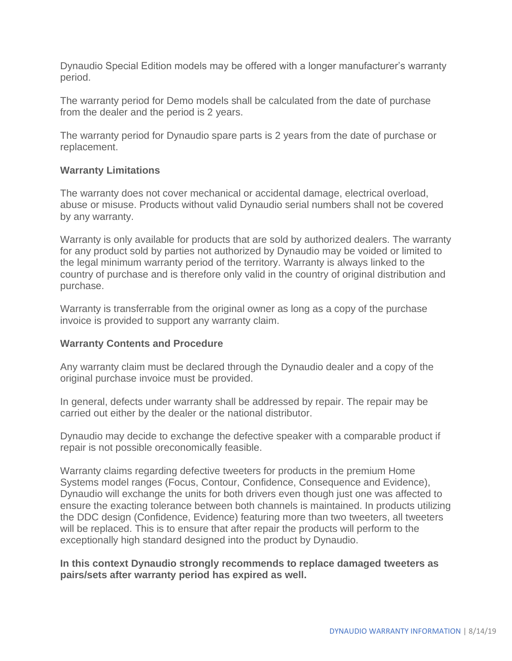Dynaudio Special Edition models may be offered with a longer manufacturer's warranty period.

The warranty period for Demo models shall be calculated from the date of purchase from the dealer and the period is 2 years.

The warranty period for Dynaudio spare parts is 2 years from the date of purchase or replacement.

#### **Warranty Limitations**

The warranty does not cover mechanical or accidental damage, electrical overload, abuse or misuse. Products without valid Dynaudio serial numbers shall not be covered by any warranty.

Warranty is only available for products that are sold by authorized dealers. The warranty for any product sold by parties not authorized by Dynaudio may be voided or limited to the legal minimum warranty period of the territory. Warranty is always linked to the country of purchase and is therefore only valid in the country of original distribution and purchase.

Warranty is transferrable from the original owner as long as a copy of the purchase invoice is provided to support any warranty claim.

#### **Warranty Contents and Procedure**

Any warranty claim must be declared through the Dynaudio dealer and a copy of the original purchase invoice must be provided.

In general, defects under warranty shall be addressed by repair. The repair may be carried out either by the dealer or the national distributor.

Dynaudio may decide to exchange the defective speaker with a comparable product if repair is not possible oreconomically feasible.

Warranty claims regarding defective tweeters for products in the premium Home Systems model ranges (Focus, Contour, Confidence, Consequence and Evidence), Dynaudio will exchange the units for both drivers even though just one was affected to ensure the exacting tolerance between both channels is maintained. In products utilizing the DDC design (Confidence, Evidence) featuring more than two tweeters, all tweeters will be replaced. This is to ensure that after repair the products will perform to the exceptionally high standard designed into the product by Dynaudio.

#### **In this context Dynaudio strongly recommends to replace damaged tweeters as pairs/sets after warranty period has expired as well.**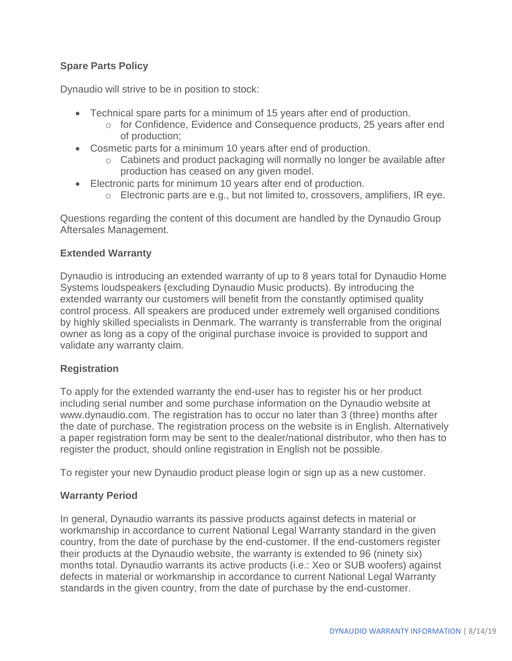# **Spare Parts Policy**

Dynaudio will strive to be in position to stock:

- Technical spare parts for a minimum of 15 years after end of production.
	- $\circ$  for Confidence, Evidence and Consequence products, 25 years after end of production;
- Cosmetic parts for a minimum 10 years after end of production.
	- $\circ$  Cabinets and product packaging will normally no longer be available after production has ceased on any given model.
- Electronic parts for minimum 10 years after end of production.
	- $\circ$  Electronic parts are e.g., but not limited to, crossovers, amplifiers, IR eye.

Questions regarding the content of this document are handled by the Dynaudio Group Aftersales Management.

### **Extended Warranty**

Dynaudio is introducing an extended warranty of up to 8 years total for Dynaudio Home Systems loudspeakers (excluding Dynaudio Music products). By introducing the extended warranty our customers will benefit from the constantly optimised quality control process. All speakers are produced under extremely well organised conditions by highly skilled specialists in Denmark. The warranty is transferrable from the original owner as long as a copy of the original purchase invoice is provided to support and validate any warranty claim.

# **Registration**

To apply for the extended warranty the end-user has to register his or her product including serial number and some purchase information on the Dynaudio website at www.dynaudio.com. The registration has to occur no later than 3 (three) months after the date of purchase. The registration process on the website is in English. Alternatively a paper registration form may be sent to the dealer/national distributor, who then has to register the product, should online registration in English not be possible.

To register your new Dynaudio product please login or sign up as a new customer.

# **Warranty Period**

In general, Dynaudio warrants its passive products against defects in material or workmanship in accordance to current National Legal Warranty standard in the given country, from the date of purchase by the end-customer. If the end-customers register their products at the Dynaudio website, the warranty is extended to 96 (ninety six) months total. Dynaudio warrants its active products (i.e.: Xeo or SUB woofers) against defects in material or workmanship in accordance to current National Legal Warranty standards in the given country, from the date of purchase by the end-customer.